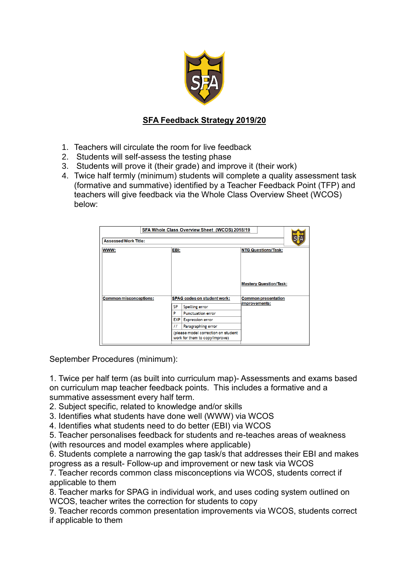

## **SFA Feedback Strategy 2019/20**

- 1. Teachers will circulate the room for live feedback
- 2. Students will self-assess the testing phase
- 3. Students will prove it (their grade) and improve it (their work)
- 4. Twice half termly (minimum) students will complete a quality assessment task (formative and summative) identified by a Teacher Feedback Point (TFP) and teachers will give feedback via the Whole Class Overview Sheet (WCOS) below:

| SFA Whole Class Overview Sheet (WCOS) 2018/19<br><b>Assessed Work Title:</b> |           |                                                                       |                                                             |
|------------------------------------------------------------------------------|-----------|-----------------------------------------------------------------------|-------------------------------------------------------------|
|                                                                              |           |                                                                       |                                                             |
| WWW:                                                                         |           | EBI:                                                                  | <b>NTG Questions/Task:</b>                                  |
| <b>Common misconceptions:</b>                                                |           | <b>SPAG codes on student work:</b>                                    | <b>Mastery Question/Task:</b><br><b>Common presentation</b> |
|                                                                              |           |                                                                       | improvements:                                               |
|                                                                              | <b>SP</b> | <b>Spelling error</b>                                                 |                                                             |
|                                                                              | Þ         | <b>Punctuation error</b>                                              |                                                             |
|                                                                              | EXP       | <b>Expression error</b>                                               |                                                             |
|                                                                              | 77        | Paragraphing error                                                    |                                                             |
|                                                                              |           | (please model correction on student<br>work for them to copy/improve) |                                                             |

September Procedures (minimum):

1. Twice per half term (as built into curriculum map)- Assessments and exams based on curriculum map teacher feedback points. This includes a formative and a summative assessment every half term.

2. Subject specific, related to knowledge and/or skills

3. Identifies what students have done well (WWW) via WCOS

4. Identifies what students need to do better (EBI) via WCOS

5. Teacher personalises feedback for students and re-teaches areas of weakness (with resources and model examples where applicable)

6. Students complete a narrowing the gap task/s that addresses their EBI and makes progress as a result- Follow-up and improvement or new task via WCOS

7. Teacher records common class misconceptions via WCOS, students correct if applicable to them

8. Teacher marks for SPAG in individual work, and uses coding system outlined on WCOS, teacher writes the correction for students to copy

9. Teacher records common presentation improvements via WCOS, students correct if applicable to them